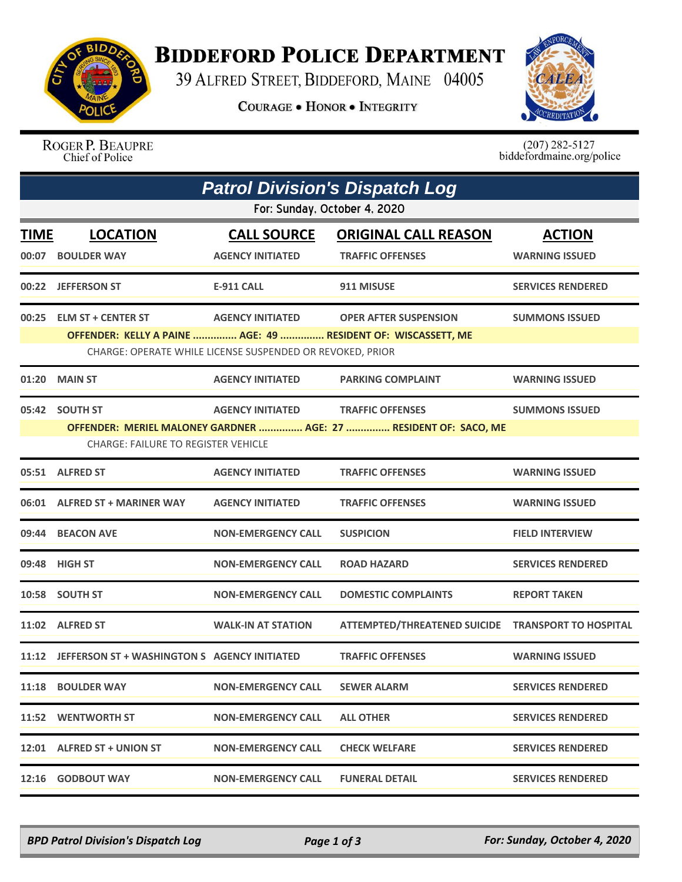

## **BIDDEFORD POLICE DEPARTMENT**

39 ALFRED STREET, BIDDEFORD, MAINE 04005

**COURAGE . HONOR . INTEGRITY** 



ROGER P. BEAUPRE Chief of Police

 $(207)$  282-5127<br>biddefordmaine.org/police

| <b>Patrol Division's Dispatch Log</b><br>For: Sunday, October 4, 2020 |                                                                                           |                                                                                      |                                                                                             |                          |  |  |  |
|-----------------------------------------------------------------------|-------------------------------------------------------------------------------------------|--------------------------------------------------------------------------------------|---------------------------------------------------------------------------------------------|--------------------------|--|--|--|
|                                                                       |                                                                                           |                                                                                      |                                                                                             |                          |  |  |  |
|                                                                       | 00:22 JEFFERSON ST                                                                        | <b>E-911 CALL</b>                                                                    | 911 MISUSE                                                                                  | <b>SERVICES RENDERED</b> |  |  |  |
|                                                                       | 00:25 ELM ST + CENTER ST<br>OFFENDER: KELLY A PAINE  AGE: 49  RESIDENT OF: WISCASSETT, ME | <b>AGENCY INITIATED</b><br>CHARGE: OPERATE WHILE LICENSE SUSPENDED OR REVOKED, PRIOR | <b>OPER AFTER SUSPENSION</b>                                                                | <b>SUMMONS ISSUED</b>    |  |  |  |
| 01:20                                                                 | <b>MAIN ST</b>                                                                            | <b>AGENCY INITIATED</b>                                                              | <b>PARKING COMPLAINT</b>                                                                    | <b>WARNING ISSUED</b>    |  |  |  |
|                                                                       | 05:42 SOUTH ST<br><b>CHARGE: FAILURE TO REGISTER VEHICLE</b>                              | <b>AGENCY INITIATED</b>                                                              | <b>TRAFFIC OFFENSES</b><br>OFFENDER: MERIEL MALONEY GARDNER  AGE: 27  RESIDENT OF: SACO, ME | <b>SUMMONS ISSUED</b>    |  |  |  |
|                                                                       | 05:51 ALFRED ST                                                                           | <b>AGENCY INITIATED</b>                                                              | <b>TRAFFIC OFFENSES</b>                                                                     | <b>WARNING ISSUED</b>    |  |  |  |
|                                                                       | 06:01 ALFRED ST + MARINER WAY                                                             | <b>AGENCY INITIATED</b>                                                              | <b>TRAFFIC OFFENSES</b>                                                                     | <b>WARNING ISSUED</b>    |  |  |  |
|                                                                       | 09:44 BEACON AVE                                                                          | <b>NON-EMERGENCY CALL</b>                                                            | <b>SUSPICION</b>                                                                            | <b>FIELD INTERVIEW</b>   |  |  |  |
|                                                                       | 09:48 HIGH ST                                                                             | <b>NON-EMERGENCY CALL</b>                                                            | <b>ROAD HAZARD</b>                                                                          | <b>SERVICES RENDERED</b> |  |  |  |
|                                                                       | 10:58 SOUTH ST                                                                            | <b>NON-EMERGENCY CALL</b>                                                            | <b>DOMESTIC COMPLAINTS</b>                                                                  | <b>REPORT TAKEN</b>      |  |  |  |
|                                                                       | 11:02 ALFRED ST                                                                           | <b>WALK-IN AT STATION</b>                                                            | ATTEMPTED/THREATENED SUICIDE TRANSPORT TO HOSPITAL                                          |                          |  |  |  |
|                                                                       | 11:12 JEFFERSON ST + WASHINGTON S AGENCY INITIATED                                        |                                                                                      | <b>TRAFFIC OFFENSES</b>                                                                     | <b>WARNING ISSUED</b>    |  |  |  |
|                                                                       | 11:18 BOULDER WAY                                                                         | <b>NON-EMERGENCY CALL</b>                                                            | <b>SEWER ALARM</b>                                                                          | <b>SERVICES RENDERED</b> |  |  |  |
|                                                                       | 11:52 WENTWORTH ST                                                                        | <b>NON-EMERGENCY CALL</b>                                                            | <b>ALL OTHER</b>                                                                            | <b>SERVICES RENDERED</b> |  |  |  |
|                                                                       | 12:01 ALFRED ST + UNION ST                                                                | <b>NON-EMERGENCY CALL</b>                                                            | <b>CHECK WELFARE</b>                                                                        | <b>SERVICES RENDERED</b> |  |  |  |
|                                                                       | 12:16 GODBOUT WAY                                                                         | <b>NON-EMERGENCY CALL</b>                                                            | <b>FUNERAL DETAIL</b>                                                                       | <b>SERVICES RENDERED</b> |  |  |  |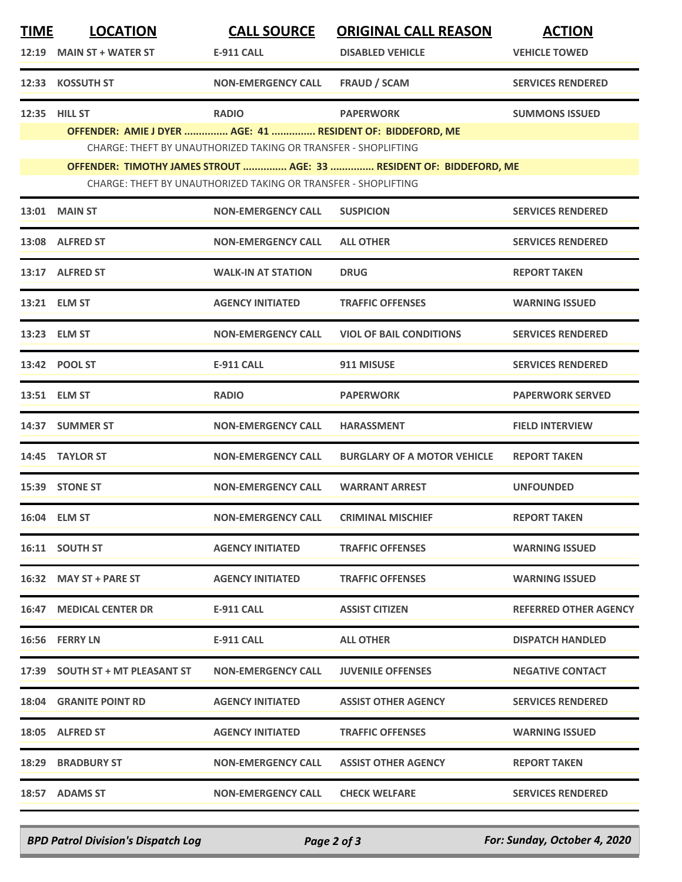| <b>TIME</b> | <b>LOCATION</b>                                                     | <b>CALL SOURCE</b>                                             | <b>ORIGINAL CALL REASON</b>        | <b>ACTION</b>                |  |  |  |  |
|-------------|---------------------------------------------------------------------|----------------------------------------------------------------|------------------------------------|------------------------------|--|--|--|--|
|             | 12:19 MAIN ST + WATER ST                                            | <b>E-911 CALL</b>                                              | <b>DISABLED VEHICLE</b>            | <b>VEHICLE TOWED</b>         |  |  |  |  |
|             | 12:33 KOSSUTH ST                                                    | <b>NON-EMERGENCY CALL</b>                                      | <b>FRAUD / SCAM</b>                | <b>SERVICES RENDERED</b>     |  |  |  |  |
|             | 12:35 HILL ST                                                       | <b>RADIO</b>                                                   | <b>PAPERWORK</b>                   | <b>SUMMONS ISSUED</b>        |  |  |  |  |
|             | OFFENDER: AMIE J DYER  AGE: 41  RESIDENT OF: BIDDEFORD, ME          |                                                                |                                    |                              |  |  |  |  |
|             |                                                                     | CHARGE: THEFT BY UNAUTHORIZED TAKING OR TRANSFER - SHOPLIFTING |                                    |                              |  |  |  |  |
|             | OFFENDER: TIMOTHY JAMES STROUT  AGE: 33  RESIDENT OF: BIDDEFORD, ME |                                                                |                                    |                              |  |  |  |  |
|             | CHARGE: THEFT BY UNAUTHORIZED TAKING OR TRANSFER - SHOPLIFTING      |                                                                |                                    |                              |  |  |  |  |
|             | <b>13:01 MAIN ST</b>                                                | <b>NON-EMERGENCY CALL</b>                                      | <b>SUSPICION</b>                   | <b>SERVICES RENDERED</b>     |  |  |  |  |
|             | 13:08 ALFRED ST                                                     | <b>NON-EMERGENCY CALL</b>                                      | <b>ALL OTHER</b>                   | <b>SERVICES RENDERED</b>     |  |  |  |  |
|             | 13:17 ALFRED ST                                                     | <b>WALK-IN AT STATION</b>                                      | <b>DRUG</b>                        | <b>REPORT TAKEN</b>          |  |  |  |  |
|             | 13:21 ELM ST                                                        | <b>AGENCY INITIATED</b>                                        | <b>TRAFFIC OFFENSES</b>            | <b>WARNING ISSUED</b>        |  |  |  |  |
|             | 13:23 ELM ST                                                        | <b>NON-EMERGENCY CALL</b>                                      | <b>VIOL OF BAIL CONDITIONS</b>     | <b>SERVICES RENDERED</b>     |  |  |  |  |
|             | 13:42 POOL ST                                                       | <b>E-911 CALL</b>                                              | 911 MISUSE                         | <b>SERVICES RENDERED</b>     |  |  |  |  |
|             | 13:51 ELM ST                                                        | <b>RADIO</b>                                                   | <b>PAPERWORK</b>                   | <b>PAPERWORK SERVED</b>      |  |  |  |  |
|             | 14:37 SUMMER ST                                                     | <b>NON-EMERGENCY CALL</b>                                      | <b>HARASSMENT</b>                  | <b>FIELD INTERVIEW</b>       |  |  |  |  |
|             | 14:45 TAYLOR ST                                                     | <b>NON-EMERGENCY CALL</b>                                      | <b>BURGLARY OF A MOTOR VEHICLE</b> | <b>REPORT TAKEN</b>          |  |  |  |  |
|             | 15:39 STONE ST                                                      | <b>NON-EMERGENCY CALL</b>                                      | <b>WARRANT ARREST</b>              | <b>UNFOUNDED</b>             |  |  |  |  |
|             | 16:04 ELM ST                                                        | <b>NON-EMERGENCY CALL</b>                                      | <b>CRIMINAL MISCHIEF</b>           | <b>REPORT TAKEN</b>          |  |  |  |  |
|             | 16:11 SOUTH ST                                                      | <b>AGENCY INITIATED</b>                                        | <b>TRAFFIC OFFENSES</b>            | <b>WARNING ISSUED</b>        |  |  |  |  |
|             | 16:32 MAY ST + PARE ST                                              | <b>AGENCY INITIATED</b>                                        | <b>TRAFFIC OFFENSES</b>            | <b>WARNING ISSUED</b>        |  |  |  |  |
|             | <b>16:47 MEDICAL CENTER DR</b>                                      | <b>E-911 CALL</b>                                              | <b>ASSIST CITIZEN</b>              | <b>REFERRED OTHER AGENCY</b> |  |  |  |  |
|             | 16:56 FERRY LN                                                      | E-911 CALL                                                     | <b>ALL OTHER</b>                   | <b>DISPATCH HANDLED</b>      |  |  |  |  |
|             | 17:39 SOUTH ST + MT PLEASANT ST                                     | <b>NON-EMERGENCY CALL</b>                                      | <b>JUVENILE OFFENSES</b>           | <b>NEGATIVE CONTACT</b>      |  |  |  |  |
|             | <b>18:04 GRANITE POINT RD</b>                                       | <b>AGENCY INITIATED</b>                                        | <b>ASSIST OTHER AGENCY</b>         | <b>SERVICES RENDERED</b>     |  |  |  |  |
|             | 18:05 ALFRED ST                                                     | <b>AGENCY INITIATED</b>                                        | <b>TRAFFIC OFFENSES</b>            | <b>WARNING ISSUED</b>        |  |  |  |  |
|             | <b>18:29 BRADBURY ST</b>                                            | <b>NON-EMERGENCY CALL</b>                                      | <b>ASSIST OTHER AGENCY</b>         | <b>REPORT TAKEN</b>          |  |  |  |  |
|             | 18:57 ADAMS ST                                                      | <b>NON-EMERGENCY CALL</b>                                      | <b>CHECK WELFARE</b>               | <b>SERVICES RENDERED</b>     |  |  |  |  |
|             |                                                                     |                                                                |                                    |                              |  |  |  |  |

*BPD Patrol Division's Dispatch Log Page 2 of 3 For: Sunday, October 4, 2020*